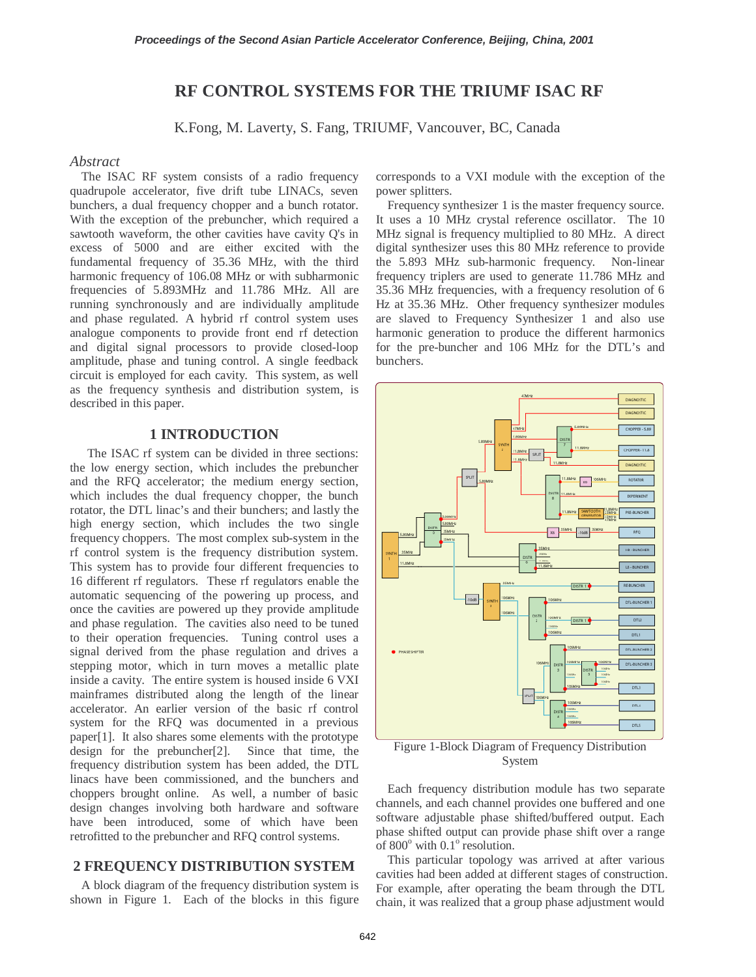# **RF CONTROL SYSTEMS FOR THE TRIUMF ISAC RF**

K.Fong, M. Laverty, S. Fang, TRIUMF, Vancouver, BC, Canada

#### *Abstract*

The ISAC RF system consists of a radio frequency quadrupole accelerator, five drift tube LINACs, seven bunchers, a dual frequency chopper and a bunch rotator. With the exception of the prebuncher, which required a sawtooth waveform, the other cavities have cavity Q's in excess of 5000 and are either excited with the fundamental frequency of 35.36 MHz, with the third harmonic frequency of 106.08 MHz or with subharmonic frequencies of 5.893MHz and 11.786 MHz. All are running synchronously and are individually amplitude and phase regulated. A hybrid rf control system uses analogue components to provide front end rf detection and digital signal processors to provide closed-loop amplitude, phase and tuning control. A single feedback circuit is employed for each cavity. This system, as well as the frequency synthesis and distribution system, is described in this paper.

## **1 INTRODUCTION**

The ISAC rf system can be divided in three sections: the low energy section, which includes the prebuncher and the RFQ accelerator; the medium energy section, which includes the dual frequency chopper, the bunch rotator, the DTL linac's and their bunchers; and lastly the high energy section, which includes the two single frequency choppers. The most complex sub-system in the rf control system is the frequency distribution system. This system has to provide four different frequencies to 16 different rf regulators. These rf regulators enable the automatic sequencing of the powering up process, and once the cavities are powered up they provide amplitude and phase regulation. The cavities also need to be tuned to their operation frequencies. Tuning control uses a signal derived from the phase regulation and drives a stepping motor, which in turn moves a metallic plate inside a cavity. The entire system is housed inside 6 VXI mainframes distributed along the length of the linear accelerator. An earlier version of the basic rf control system for the RFQ was documented in a previous paper[1]. It also shares some elements with the prototype design for the prebuncher[2]. Since that time, the frequency distribution system has been added, the DTL linacs have been commissioned, and the bunchers and choppers brought online. As well, a number of basic design changes involving both hardware and software have been introduced, some of which have been retrofitted to the prebuncher and RFQ control systems.

### **2 FREQUENCY DISTRIBUTION SYSTEM**

A block diagram of the frequency distribution system is shown in Figure 1. Each of the blocks in this figure corresponds to a VXI module with the exception of the power splitters.

Frequency synthesizer 1 is the master frequency source. It uses a 10 MHz crystal reference oscillator. The 10 MHz signal is frequency multiplied to 80 MHz. A direct digital synthesizer uses this 80 MHz reference to provide the 5.893 MHz sub-harmonic frequency. Non-linear frequency triplers are used to generate 11.786 MHz and 35.36 MHz frequencies, with a frequency resolution of 6 Hz at 35.36 MHz. Other frequency synthesizer modules are slaved to Frequency Synthesizer 1 and also use harmonic generation to produce the different harmonics for the pre-buncher and 106 MHz for the DTL's and bunchers.



Figure 1-Block Diagram of Frequency Distribution System

Each frequency distribution module has two separate channels, and each channel provides one buffered and one software adjustable phase shifted/buffered output. Each phase shifted output can provide phase shift over a range of  $800^\circ$  with  $0.1^\circ$  resolution.

This particular topology was arrived at after various cavities had been added at different stages of construction. For example, after operating the beam through the DTL chain, it was realized that a group phase adjustment would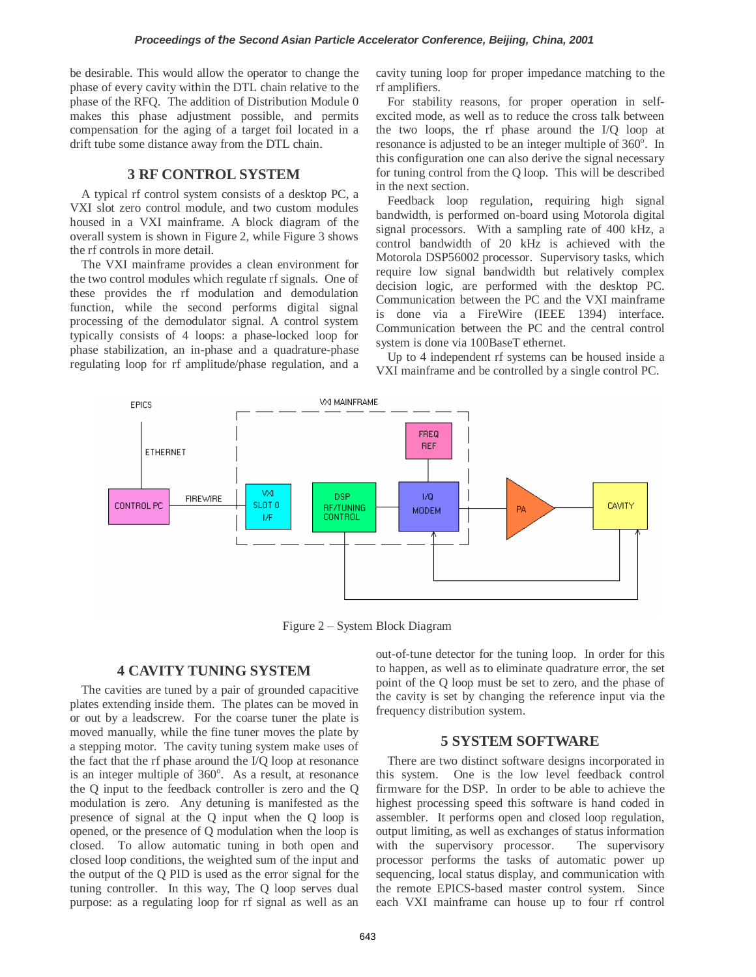be desirable. This would allow the operator to change the phase of every cavity within the DTL chain relative to the phase of the RFQ. The addition of Distribution Module 0 makes this phase adjustment possible, and permits compensation for the aging of a target foil located in a drift tube some distance away from the DTL chain.

#### **3 RF CONTROL SYSTEM**

A typical rf control system consists of a desktop PC, a VXI slot zero control module, and two custom modules housed in a VXI mainframe. A block diagram of the overall system is shown in Figure 2, while Figure 3 shows the rf controls in more detail.

The VXI mainframe provides a clean environment for the two control modules which regulate rf signals. One of these provides the rf modulation and demodulation function, while the second performs digital signal processing of the demodulator signal. A control system typically consists of 4 loops: a phase-locked loop for phase stabilization, an in-phase and a quadrature-phase regulating loop for rf amplitude/phase regulation, and a cavity tuning loop for proper impedance matching to the rf amplifiers.

For stability reasons, for proper operation in selfexcited mode, as well as to reduce the cross talk between the two loops, the rf phase around the I/Q loop at resonance is adjusted to be an integer multiple of  $360^\circ$ . In this configuration one can also derive the signal necessary for tuning control from the Q loop. This will be described in the next section.

Feedback loop regulation, requiring high signal bandwidth, is performed on-board using Motorola digital signal processors. With a sampling rate of 400 kHz, a control bandwidth of 20 kHz is achieved with the Motorola DSP56002 processor. Supervisory tasks, which require low signal bandwidth but relatively complex decision logic, are performed with the desktop PC. Communication between the PC and the VXI mainframe is done via a FireWire (IEEE 1394) interface. Communication between the PC and the central control system is done via 100BaseT ethernet.

Up to 4 independent rf systems can be housed inside a VXI mainframe and be controlled by a single control PC.



Figure 2 – System Block Diagram

## **4 CAVITY TUNING SYSTEM**

The cavities are tuned by a pair of grounded capacitive plates extending inside them. The plates can be moved in or out by a leadscrew. For the coarse tuner the plate is moved manually, while the fine tuner moves the plate by a stepping motor. The cavity tuning system make uses of the fact that the rf phase around the I/Q loop at resonance is an integer multiple of  $360^\circ$ . As a result, at resonance the Q input to the feedback controller is zero and the Q modulation is zero. Any detuning is manifested as the presence of signal at the Q input when the Q loop is opened, or the presence of Q modulation when the loop is closed. To allow automatic tuning in both open and closed loop conditions, the weighted sum of the input and the output of the Q PID is used as the error signal for the tuning controller. In this way, The Q loop serves dual purpose: as a regulating loop for rf signal as well as an

out-of-tune detector for the tuning loop. In order for this to happen, as well as to eliminate quadrature error, the set point of the Q loop must be set to zero, and the phase of the cavity is set by changing the reference input via the frequency distribution system.

## **5 SYSTEM SOFTWARE**

There are two distinct software designs incorporated in this system. One is the low level feedback control firmware for the DSP. In order to be able to achieve the highest processing speed this software is hand coded in assembler. It performs open and closed loop regulation, output limiting, as well as exchanges of status information with the supervisory processor. The supervisory processor performs the tasks of automatic power up sequencing, local status display, and communication with the remote EPICS-based master control system. Since each VXI mainframe can house up to four rf control